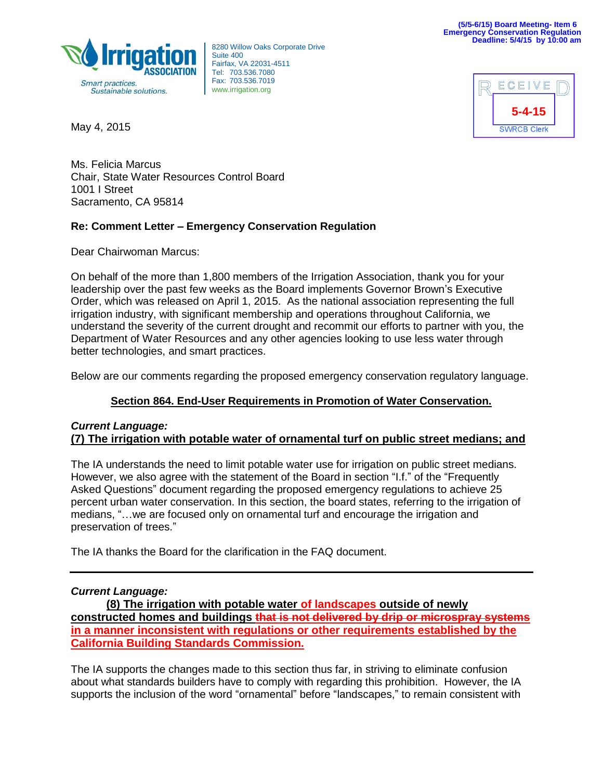

8280 Willow Oaks Corporate Drive Suite 400 Fairfax, VA 22031-4511 Tel: 703.536.7080 Fax: 703.536.7019 www.irrigation.org



May 4, 2015

Ms. Felicia Marcus Chair, State Water Resources Control Board 1001 I Street Sacramento, CA 95814

# **Re: Comment Letter – Emergency Conservation Regulation**

Dear Chairwoman Marcus:

On behalf of the more than 1,800 members of the Irrigation Association, thank you for your leadership over the past few weeks as the Board implements Governor Brown's Executive Order, which was released on April 1, 2015. As the national association representing the full irrigation industry, with significant membership and operations throughout California, we understand the severity of the current drought and recommit our efforts to partner with you, the Department of Water Resources and any other agencies looking to use less water through better technologies, and smart practices.

Below are our comments regarding the proposed emergency conservation regulatory language.

# **Section 864. End-User Requirements in Promotion of Water Conservation.**

### *Current Language:* **(7) The irrigation with potable water of ornamental turf on public street medians; and**

The IA understands the need to limit potable water use for irrigation on public street medians. However, we also agree with the statement of the Board in section "I.f." of the "Frequently Asked Questions" document regarding the proposed emergency regulations to achieve 25 percent urban water conservation. In this section, the board states, referring to the irrigation of medians, "...we are focused only on ornamental turf and encourage the irrigation and preservation of trees."

The IA thanks the Board for the clarification in the FAQ document.

### *Current Language:*

**(8) The irrigation with potable water of landscapes outside of newly constructed homes and buildings that is not delivered by drip or microspray systems in a manner inconsistent with regulations or other requirements established by the California Building Standards Commission.**

The IA supports the changes made to this section thus far, in striving to eliminate confusion about what standards builders have to comply with regarding this prohibition. However, the IA supports the inclusion of the word "ornamental" before "landscapes," to remain consistent with